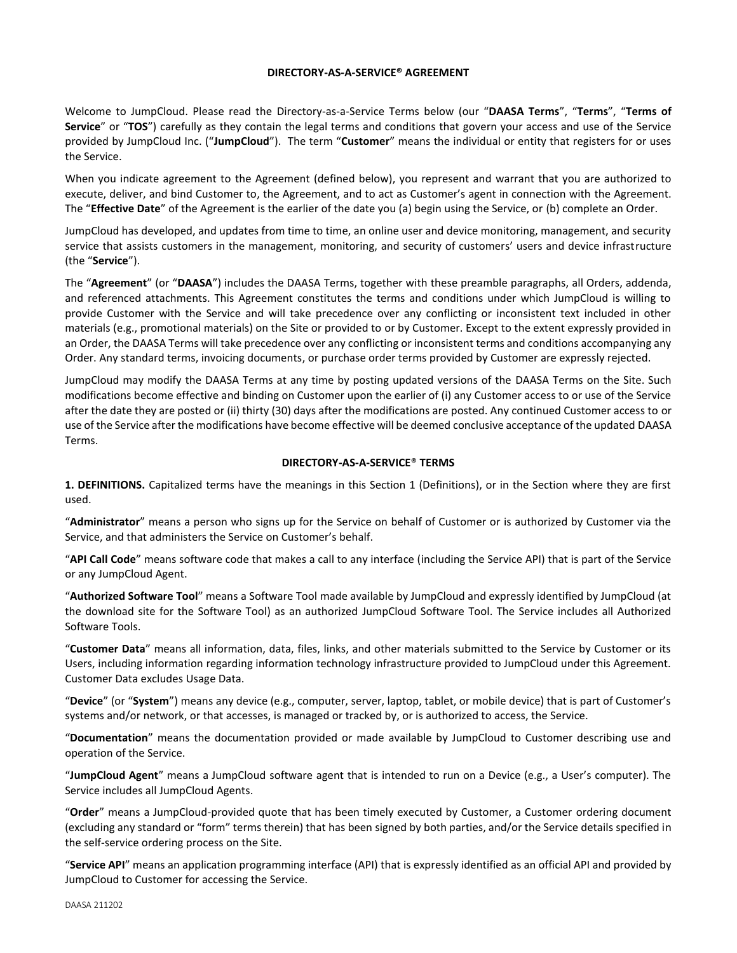#### **DIRECTORY-AS-A-SERVICE® AGREEMENT**

Welcome to JumpCloud. Please read the Directory-as-a-Service Terms below (our "**DAASA Terms**", "**Terms**", "**Terms of Service**" or "**TOS**") carefully as they contain the legal terms and conditions that govern your access and use of the Service provided by JumpCloud Inc. ("**JumpCloud**"). The term "**Customer**" means the individual or entity that registers for or uses the Service.

When you indicate agreement to the Agreement (defined below), you represent and warrant that you are authorized to execute, deliver, and bind Customer to, the Agreement, and to act as Customer's agent in connection with the Agreement. The "**Effective Date**" of the Agreement is the earlier of the date you (a) begin using the Service, or (b) complete an Order.

JumpCloud has developed, and updates from time to time, an online user and device monitoring, management, and security service that assists customers in the management, monitoring, and security of customers' users and device infrastructure (the "**Service**").

The "**Agreement**" (or "**DAASA**") includes the DAASA Terms, together with these preamble paragraphs, all Orders, addenda, and referenced attachments. This Agreement constitutes the terms and conditions under which JumpCloud is willing to provide Customer with the Service and will take precedence over any conflicting or inconsistent text included in other materials (e.g., promotional materials) on the Site or provided to or by Customer. Except to the extent expressly provided in an Order, the DAASA Terms will take precedence over any conflicting or inconsistent terms and conditions accompanying any Order. Any standard terms, invoicing documents, or purchase order terms provided by Customer are expressly rejected.

JumpCloud may modify the DAASA Terms at any time by posting updated versions of the DAASA Terms on the Site. Such modifications become effective and binding on Customer upon the earlier of (i) any Customer access to or use of the Service after the date they are posted or (ii) thirty (30) days after the modifications are posted. Any continued Customer access to or use of the Service after the modifications have become effective will be deemed conclusive acceptance of the updated DAASA Terms.

### **DIRECTORY-AS-A-SERVICE**® **TERMS**

**1. DEFINITIONS.** Capitalized terms have the meanings in this Section 1 (Definitions), or in the Section where they are first used.

"**Administrator**" means a person who signs up for the Service on behalf of Customer or is authorized by Customer via the Service, and that administers the Service on Customer's behalf.

"**API Call Code**" means software code that makes a call to any interface (including the Service API) that is part of the Service or any JumpCloud Agent.

"**Authorized Software Tool**" means a Software Tool made available by JumpCloud and expressly identified by JumpCloud (at the download site for the Software Tool) as an authorized JumpCloud Software Tool. The Service includes all Authorized Software Tools.

"**Customer Data**" means all information, data, files, links, and other materials submitted to the Service by Customer or its Users, including information regarding information technology infrastructure provided to JumpCloud under this Agreement. Customer Data excludes Usage Data.

"**Device**" (or "**System**") means any device (e.g., computer, server, laptop, tablet, or mobile device) that is part of Customer's systems and/or network, or that accesses, is managed or tracked by, or is authorized to access, the Service.

"**Documentation**" means the documentation provided or made available by JumpCloud to Customer describing use and operation of the Service.

"**JumpCloud Agent**" means a JumpCloud software agent that is intended to run on a Device (e.g., a User's computer). The Service includes all JumpCloud Agents.

"**Order**" means a JumpCloud-provided quote that has been timely executed by Customer, a Customer ordering document (excluding any standard or "form" terms therein) that has been signed by both parties, and/or the Service details specified in the self-service ordering process on the Site.

"**Service API**" means an application programming interface (API) that is expressly identified as an official API and provided by JumpCloud to Customer for accessing the Service.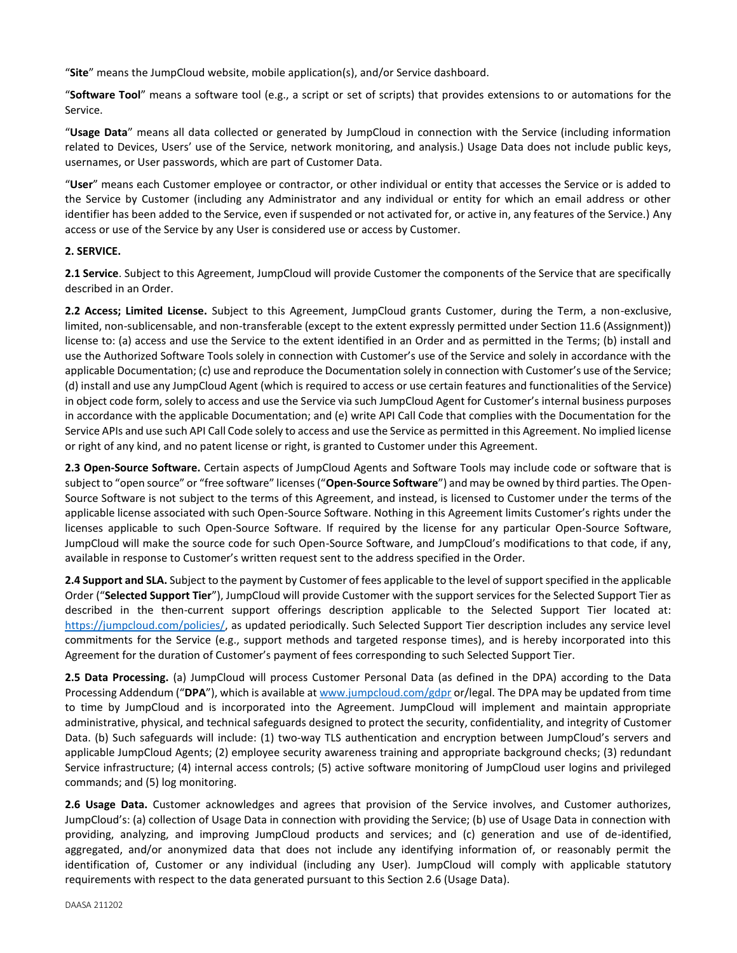"**Site**" means the JumpCloud website, mobile application(s), and/or Service dashboard.

"**Software Tool**" means a software tool (e.g., a script or set of scripts) that provides extensions to or automations for the Service.

"**Usage Data**" means all data collected or generated by JumpCloud in connection with the Service (including information related to Devices, Users' use of the Service, network monitoring, and analysis.) Usage Data does not include public keys, usernames, or User passwords, which are part of Customer Data.

"**User**" means each Customer employee or contractor, or other individual or entity that accesses the Service or is added to the Service by Customer (including any Administrator and any individual or entity for which an email address or other identifier has been added to the Service, even if suspended or not activated for, or active in, any features of the Service.) Any access or use of the Service by any User is considered use or access by Customer.

### **2. SERVICE.**

**2.1 Service**. Subject to this Agreement, JumpCloud will provide Customer the components of the Service that are specifically described in an Order.

**2.2 Access; Limited License.** Subject to this Agreement, JumpCloud grants Customer, during the Term, a non-exclusive, limited, non-sublicensable, and non-transferable (except to the extent expressly permitted under Section 11.6 (Assignment)) license to: (a) access and use the Service to the extent identified in an Order and as permitted in the Terms; (b) install and use the Authorized Software Tools solely in connection with Customer's use of the Service and solely in accordance with the applicable Documentation; (c) use and reproduce the Documentation solely in connection with Customer's use of the Service; (d) install and use any JumpCloud Agent (which is required to access or use certain features and functionalities of the Service) in object code form, solely to access and use the Service via such JumpCloud Agent for Customer's internal business purposes in accordance with the applicable Documentation; and (e) write API Call Code that complies with the Documentation for the Service APIs and use such API Call Code solely to access and use the Service as permitted in this Agreement. No implied license or right of any kind, and no patent license or right, is granted to Customer under this Agreement.

**2.3 Open-Source Software.** Certain aspects of JumpCloud Agents and Software Tools may include code or software that is subject to "open source" or "free software" licenses ("**Open-Source Software**") and may be owned by third parties. The Open-Source Software is not subject to the terms of this Agreement, and instead, is licensed to Customer under the terms of the applicable license associated with such Open-Source Software. Nothing in this Agreement limits Customer's rights under the licenses applicable to such Open-Source Software. If required by the license for any particular Open-Source Software, JumpCloud will make the source code for such Open-Source Software, and JumpCloud's modifications to that code, if any, available in response to Customer's written request sent to the address specified in the Order.

**2.4 Support and SLA.** Subject to the payment by Customer of fees applicable to the level of support specified in the applicable Order ("**Selected Support Tier**"), JumpCloud will provide Customer with the support services for the Selected Support Tier as described in the then-current support offerings description applicable to the Selected Support Tier located at: [https://jumpcloud.com/policies/,](https://jumpcloud.com/policies/) as updated periodically. Such Selected Support Tier description includes any service level commitments for the Service (e.g., support methods and targeted response times), and is hereby incorporated into this Agreement for the duration of Customer's payment of fees corresponding to such Selected Support Tier.

**2.5 Data Processing.** (a) JumpCloud will process Customer Personal Data (as defined in the DPA) according to the Data Processing Addendum ("**DPA**"), which is available at [www.jumpcloud.com/gdpr](http://www.jumpcloud.com/gdpr) or/legal. The DPA may be updated from time to time by JumpCloud and is incorporated into the Agreement. JumpCloud will implement and maintain appropriate administrative, physical, and technical safeguards designed to protect the security, confidentiality, and integrity of Customer Data. (b) Such safeguards will include: (1) two-way TLS authentication and encryption between JumpCloud's servers and applicable JumpCloud Agents; (2) employee security awareness training and appropriate background checks; (3) redundant Service infrastructure; (4) internal access controls; (5) active software monitoring of JumpCloud user logins and privileged commands; and (5) log monitoring.

**2.6 Usage Data.** Customer acknowledges and agrees that provision of the Service involves, and Customer authorizes, JumpCloud's: (a) collection of Usage Data in connection with providing the Service; (b) use of Usage Data in connection with providing, analyzing, and improving JumpCloud products and services; and (c) generation and use of de-identified, aggregated, and/or anonymized data that does not include any identifying information of, or reasonably permit the identification of, Customer or any individual (including any User). JumpCloud will comply with applicable statutory requirements with respect to the data generated pursuant to this Section 2.6 (Usage Data).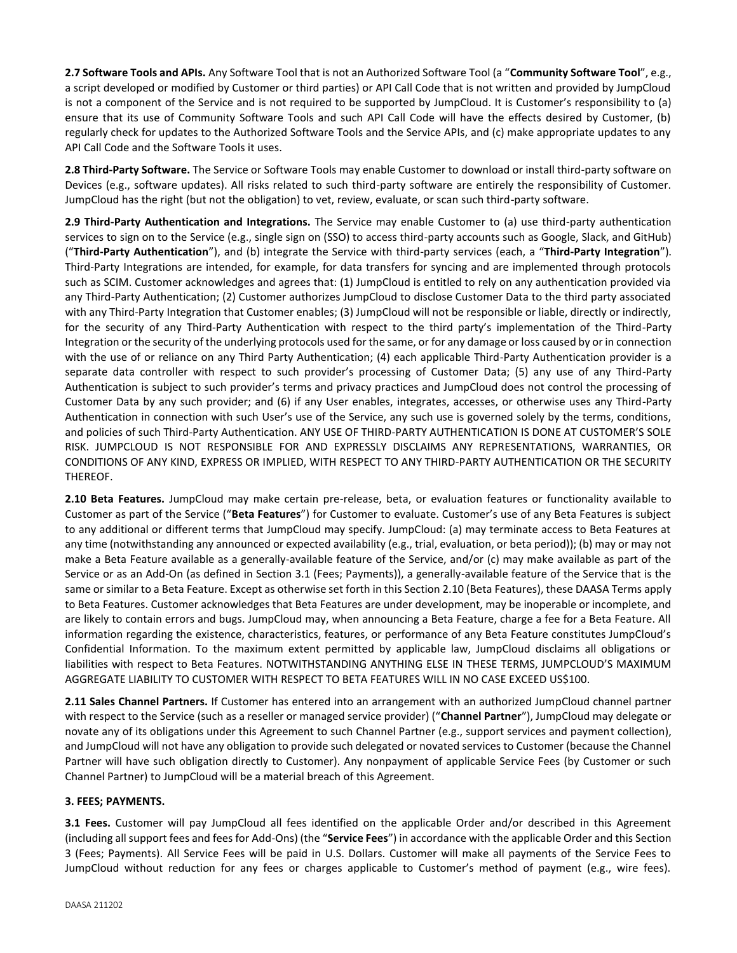**2.7 Software Tools and APIs.** Any Software Tool that is not an Authorized Software Tool (a "**Community Software Tool**", e.g., a script developed or modified by Customer or third parties) or API Call Code that is not written and provided by JumpCloud is not a component of the Service and is not required to be supported by JumpCloud. It is Customer's responsibility to (a) ensure that its use of Community Software Tools and such API Call Code will have the effects desired by Customer, (b) regularly check for updates to the Authorized Software Tools and the Service APIs, and (c) make appropriate updates to any API Call Code and the Software Tools it uses.

**2.8 Third-Party Software.** The Service or Software Tools may enable Customer to download or install third-party software on Devices (e.g., software updates). All risks related to such third-party software are entirely the responsibility of Customer. JumpCloud has the right (but not the obligation) to vet, review, evaluate, or scan such third-party software.

**2.9 Third-Party Authentication and Integrations.** The Service may enable Customer to (a) use third-party authentication services to sign on to the Service (e.g., single sign on (SSO) to access third-party accounts such as Google, Slack, and GitHub) ("**Third-Party Authentication**"), and (b) integrate the Service with third-party services (each, a "**Third-Party Integration**"). Third-Party Integrations are intended, for example, for data transfers for syncing and are implemented through protocols such as SCIM. Customer acknowledges and agrees that: (1) JumpCloud is entitled to rely on any authentication provided via any Third-Party Authentication; (2) Customer authorizes JumpCloud to disclose Customer Data to the third party associated with any Third-Party Integration that Customer enables; (3) JumpCloud will not be responsible or liable, directly or indirectly, for the security of any Third-Party Authentication with respect to the third party's implementation of the Third-Party Integration or the security of the underlying protocols used for the same, or for any damage or loss caused by or in connection with the use of or reliance on any Third Party Authentication; (4) each applicable Third-Party Authentication provider is a separate data controller with respect to such provider's processing of Customer Data; (5) any use of any Third-Party Authentication is subject to such provider's terms and privacy practices and JumpCloud does not control the processing of Customer Data by any such provider; and (6) if any User enables, integrates, accesses, or otherwise uses any Third-Party Authentication in connection with such User's use of the Service, any such use is governed solely by the terms, conditions, and policies of such Third-Party Authentication. ANY USE OF THIRD-PARTY AUTHENTICATION IS DONE AT CUSTOMER'S SOLE RISK. JUMPCLOUD IS NOT RESPONSIBLE FOR AND EXPRESSLY DISCLAIMS ANY REPRESENTATIONS, WARRANTIES, OR CONDITIONS OF ANY KIND, EXPRESS OR IMPLIED, WITH RESPECT TO ANY THIRD-PARTY AUTHENTICATION OR THE SECURITY THEREOF.

**2.10 Beta Features.** JumpCloud may make certain pre-release, beta, or evaluation features or functionality available to Customer as part of the Service ("**Beta Features**") for Customer to evaluate. Customer's use of any Beta Features is subject to any additional or different terms that JumpCloud may specify. JumpCloud: (a) may terminate access to Beta Features at any time (notwithstanding any announced or expected availability (e.g., trial, evaluation, or beta period)); (b) may or may not make a Beta Feature available as a generally-available feature of the Service, and/or (c) may make available as part of the Service or as an Add-On (as defined in Section 3.1 (Fees; Payments)), a generally-available feature of the Service that is the same or similar to a Beta Feature. Except as otherwise set forth in this Section 2.10 (Beta Features), these DAASA Terms apply to Beta Features. Customer acknowledges that Beta Features are under development, may be inoperable or incomplete, and are likely to contain errors and bugs. JumpCloud may, when announcing a Beta Feature, charge a fee for a Beta Feature. All information regarding the existence, characteristics, features, or performance of any Beta Feature constitutes JumpCloud's Confidential Information. To the maximum extent permitted by applicable law, JumpCloud disclaims all obligations or liabilities with respect to Beta Features. NOTWITHSTANDING ANYTHING ELSE IN THESE TERMS, JUMPCLOUD'S MAXIMUM AGGREGATE LIABILITY TO CUSTOMER WITH RESPECT TO BETA FEATURES WILL IN NO CASE EXCEED US\$100.

**2.11 Sales Channel Partners.** If Customer has entered into an arrangement with an authorized JumpCloud channel partner with respect to the Service (such as a reseller or managed service provider) ("**Channel Partner**"), JumpCloud may delegate or novate any of its obligations under this Agreement to such Channel Partner (e.g., support services and payment collection), and JumpCloud will not have any obligation to provide such delegated or novated services to Customer (because the Channel Partner will have such obligation directly to Customer). Any nonpayment of applicable Service Fees (by Customer or such Channel Partner) to JumpCloud will be a material breach of this Agreement.

# **3. FEES; PAYMENTS.**

**3.1 Fees.** Customer will pay JumpCloud all fees identified on the applicable Order and/or described in this Agreement (including all support fees and fees for Add-Ons) (the "**Service Fees**") in accordance with the applicable Order and this Section 3 (Fees; Payments). All Service Fees will be paid in U.S. Dollars. Customer will make all payments of the Service Fees to JumpCloud without reduction for any fees or charges applicable to Customer's method of payment (e.g., wire fees).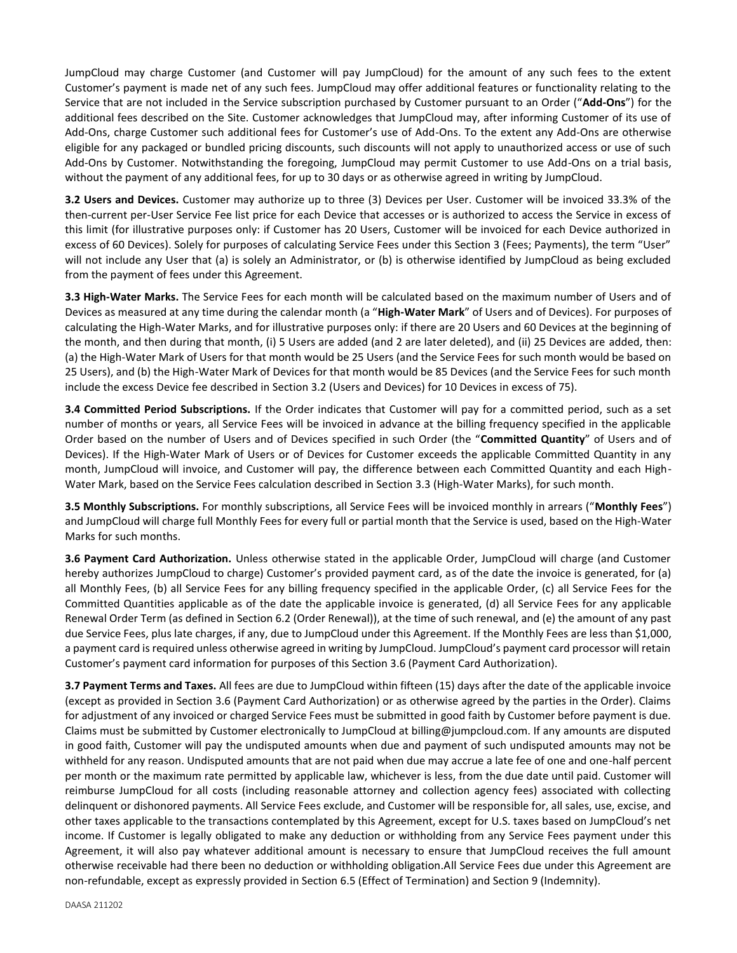JumpCloud may charge Customer (and Customer will pay JumpCloud) for the amount of any such fees to the extent Customer's payment is made net of any such fees. JumpCloud may offer additional features or functionality relating to the Service that are not included in the Service subscription purchased by Customer pursuant to an Order ("**Add-Ons**") for the additional fees described on the Site. Customer acknowledges that JumpCloud may, after informing Customer of its use of Add-Ons, charge Customer such additional fees for Customer's use of Add-Ons. To the extent any Add-Ons are otherwise eligible for any packaged or bundled pricing discounts, such discounts will not apply to unauthorized access or use of such Add-Ons by Customer. Notwithstanding the foregoing, JumpCloud may permit Customer to use Add-Ons on a trial basis, without the payment of any additional fees, for up to 30 days or as otherwise agreed in writing by JumpCloud.

**3.2 Users and Devices.** Customer may authorize up to three (3) Devices per User. Customer will be invoiced 33.3% of the then-current per-User Service Fee list price for each Device that accesses or is authorized to access the Service in excess of this limit (for illustrative purposes only: if Customer has 20 Users, Customer will be invoiced for each Device authorized in excess of 60 Devices). Solely for purposes of calculating Service Fees under this Section 3 (Fees; Payments), the term "User" will not include any User that (a) is solely an Administrator, or (b) is otherwise identified by JumpCloud as being excluded from the payment of fees under this Agreement.

**3.3 High-Water Marks.** The Service Fees for each month will be calculated based on the maximum number of Users and of Devices as measured at any time during the calendar month (a "**High-Water Mark**" of Users and of Devices). For purposes of calculating the High-Water Marks, and for illustrative purposes only: if there are 20 Users and 60 Devices at the beginning of the month, and then during that month, (i) 5 Users are added (and 2 are later deleted), and (ii) 25 Devices are added, then: (a) the High-Water Mark of Users for that month would be 25 Users (and the Service Fees for such month would be based on 25 Users), and (b) the High-Water Mark of Devices for that month would be 85 Devices (and the Service Fees for such month include the excess Device fee described in Section 3.2 (Users and Devices) for 10 Devices in excess of 75).

**3.4 Committed Period Subscriptions.** If the Order indicates that Customer will pay for a committed period, such as a set number of months or years, all Service Fees will be invoiced in advance at the billing frequency specified in the applicable Order based on the number of Users and of Devices specified in such Order (the "**Committed Quantity**" of Users and of Devices). If the High-Water Mark of Users or of Devices for Customer exceeds the applicable Committed Quantity in any month, JumpCloud will invoice, and Customer will pay, the difference between each Committed Quantity and each High-Water Mark, based on the Service Fees calculation described in Section 3.3 (High-Water Marks), for such month.

**3.5 Monthly Subscriptions.** For monthly subscriptions, all Service Fees will be invoiced monthly in arrears ("**Monthly Fees**") and JumpCloud will charge full Monthly Fees for every full or partial month that the Service is used, based on the High-Water Marks for such months.

**3.6 Payment Card Authorization.** Unless otherwise stated in the applicable Order, JumpCloud will charge (and Customer hereby authorizes JumpCloud to charge) Customer's provided payment card, as of the date the invoice is generated, for (a) all Monthly Fees, (b) all Service Fees for any billing frequency specified in the applicable Order, (c) all Service Fees for the Committed Quantities applicable as of the date the applicable invoice is generated, (d) all Service Fees for any applicable Renewal Order Term (as defined in Section 6.2 (Order Renewal)), at the time of such renewal, and (e) the amount of any past due Service Fees, plus late charges, if any, due to JumpCloud under this Agreement. If the Monthly Fees are less than \$1,000, a payment card is required unless otherwise agreed in writing by JumpCloud. JumpCloud's payment card processor will retain Customer's payment card information for purposes of this Section 3.6 (Payment Card Authorization).

**3.7 Payment Terms and Taxes.** All fees are due to JumpCloud within fifteen (15) days after the date of the applicable invoice (except as provided in Section 3.6 (Payment Card Authorization) or as otherwise agreed by the parties in the Order). Claims for adjustment of any invoiced or charged Service Fees must be submitted in good faith by Customer before payment is due. Claims must be submitted by Customer electronically to JumpCloud at billing@jumpcloud.com. If any amounts are disputed in good faith, Customer will pay the undisputed amounts when due and payment of such undisputed amounts may not be withheld for any reason. Undisputed amounts that are not paid when due may accrue a late fee of one and one-half percent per month or the maximum rate permitted by applicable law, whichever is less, from the due date until paid. Customer will reimburse JumpCloud for all costs (including reasonable attorney and collection agency fees) associated with collecting delinquent or dishonored payments. All Service Fees exclude, and Customer will be responsible for, all sales, use, excise, and other taxes applicable to the transactions contemplated by this Agreement, except for U.S. taxes based on JumpCloud's net income. If Customer is legally obligated to make any deduction or withholding from any Service Fees payment under this Agreement, it will also pay whatever additional amount is necessary to ensure that JumpCloud receives the full amount otherwise receivable had there been no deduction or withholding obligation.All Service Fees due under this Agreement are non-refundable, except as expressly provided in Section 6.5 (Effect of Termination) and Section 9 (Indemnity).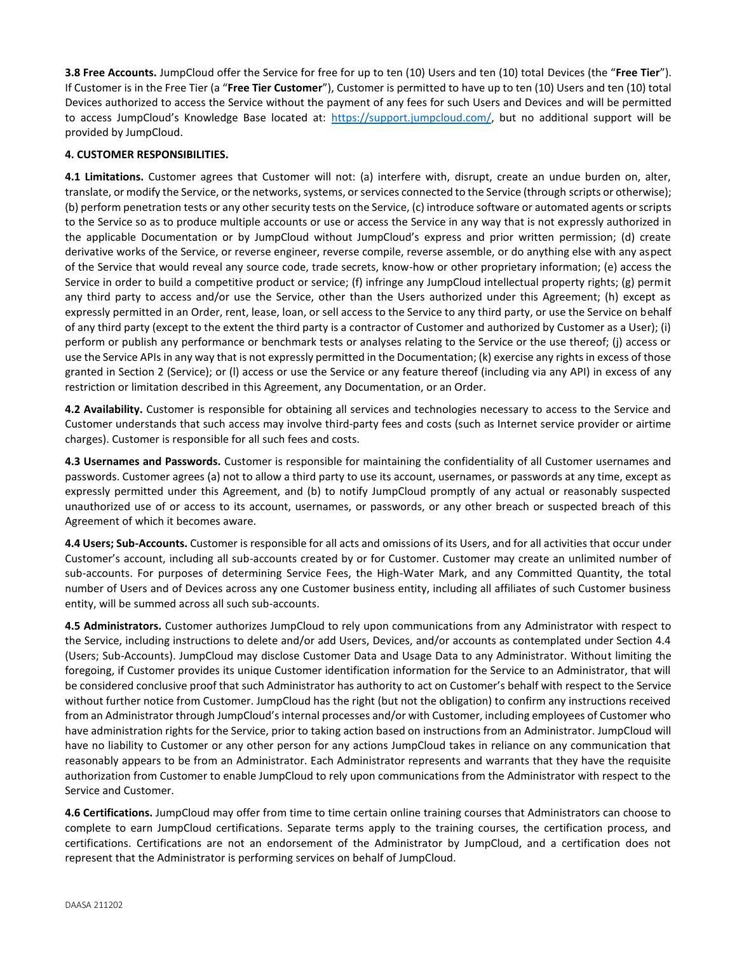**3.8 Free Accounts.** JumpCloud offer the Service for free for up to ten (10) Users and ten (10) total Devices (the "**Free Tier**"). If Customer is in the Free Tier (a "**Free Tier Customer**"), Customer is permitted to have up to ten (10) Users and ten (10) total Devices authorized to access the Service without the payment of any fees for such Users and Devices and will be permitted to access JumpCloud's Knowledge Base located at: [https://support.jumpcloud.com/,](https://support.jumpcloud.com/) but no additional support will be provided by JumpCloud.

## **4. CUSTOMER RESPONSIBILITIES.**

**4.1 Limitations.** Customer agrees that Customer will not: (a) interfere with, disrupt, create an undue burden on, alter, translate, or modify the Service, or the networks, systems, or services connected to the Service (through scripts or otherwise); (b) perform penetration tests or any other security tests on the Service, (c) introduce software or automated agents or scripts to the Service so as to produce multiple accounts or use or access the Service in any way that is not expressly authorized in the applicable Documentation or by JumpCloud without JumpCloud's express and prior written permission; (d) create derivative works of the Service, or reverse engineer, reverse compile, reverse assemble, or do anything else with any aspect of the Service that would reveal any source code, trade secrets, know-how or other proprietary information; (e) access the Service in order to build a competitive product or service; (f) infringe any JumpCloud intellectual property rights; (g) permit any third party to access and/or use the Service, other than the Users authorized under this Agreement; (h) except as expressly permitted in an Order, rent, lease, loan, or sell access to the Service to any third party, or use the Service on behalf of any third party (except to the extent the third party is a contractor of Customer and authorized by Customer as a User); (i) perform or publish any performance or benchmark tests or analyses relating to the Service or the use thereof; (j) access or use the Service APIs in any way that is not expressly permitted in the Documentation; (k) exercise any rights in excess of those granted in Section 2 (Service); or (l) access or use the Service or any feature thereof (including via any API) in excess of any restriction or limitation described in this Agreement, any Documentation, or an Order.

**4.2 Availability.** Customer is responsible for obtaining all services and technologies necessary to access to the Service and Customer understands that such access may involve third-party fees and costs (such as Internet service provider or airtime charges). Customer is responsible for all such fees and costs.

**4.3 Usernames and Passwords.** Customer is responsible for maintaining the confidentiality of all Customer usernames and passwords. Customer agrees (a) not to allow a third party to use its account, usernames, or passwords at any time, except as expressly permitted under this Agreement, and (b) to notify JumpCloud promptly of any actual or reasonably suspected unauthorized use of or access to its account, usernames, or passwords, or any other breach or suspected breach of this Agreement of which it becomes aware.

**4.4 Users; Sub-Accounts.** Customer is responsible for all acts and omissions of its Users, and for all activities that occur under Customer's account, including all sub-accounts created by or for Customer. Customer may create an unlimited number of sub-accounts. For purposes of determining Service Fees, the High-Water Mark, and any Committed Quantity, the total number of Users and of Devices across any one Customer business entity, including all affiliates of such Customer business entity, will be summed across all such sub-accounts.

**4.5 Administrators.** Customer authorizes JumpCloud to rely upon communications from any Administrator with respect to the Service, including instructions to delete and/or add Users, Devices, and/or accounts as contemplated under Section 4.4 (Users; Sub-Accounts). JumpCloud may disclose Customer Data and Usage Data to any Administrator. Without limiting the foregoing, if Customer provides its unique Customer identification information for the Service to an Administrator, that will be considered conclusive proof that such Administrator has authority to act on Customer's behalf with respect to the Service without further notice from Customer. JumpCloud has the right (but not the obligation) to confirm any instructions received from an Administrator through JumpCloud's internal processes and/or with Customer, including employees of Customer who have administration rights for the Service, prior to taking action based on instructions from an Administrator. JumpCloud will have no liability to Customer or any other person for any actions JumpCloud takes in reliance on any communication that reasonably appears to be from an Administrator. Each Administrator represents and warrants that they have the requisite authorization from Customer to enable JumpCloud to rely upon communications from the Administrator with respect to the Service and Customer.

**4.6 Certifications.** JumpCloud may offer from time to time certain online training courses that Administrators can choose to complete to earn JumpCloud certifications. Separate terms apply to the training courses, the certification process, and certifications. Certifications are not an endorsement of the Administrator by JumpCloud, and a certification does not represent that the Administrator is performing services on behalf of JumpCloud.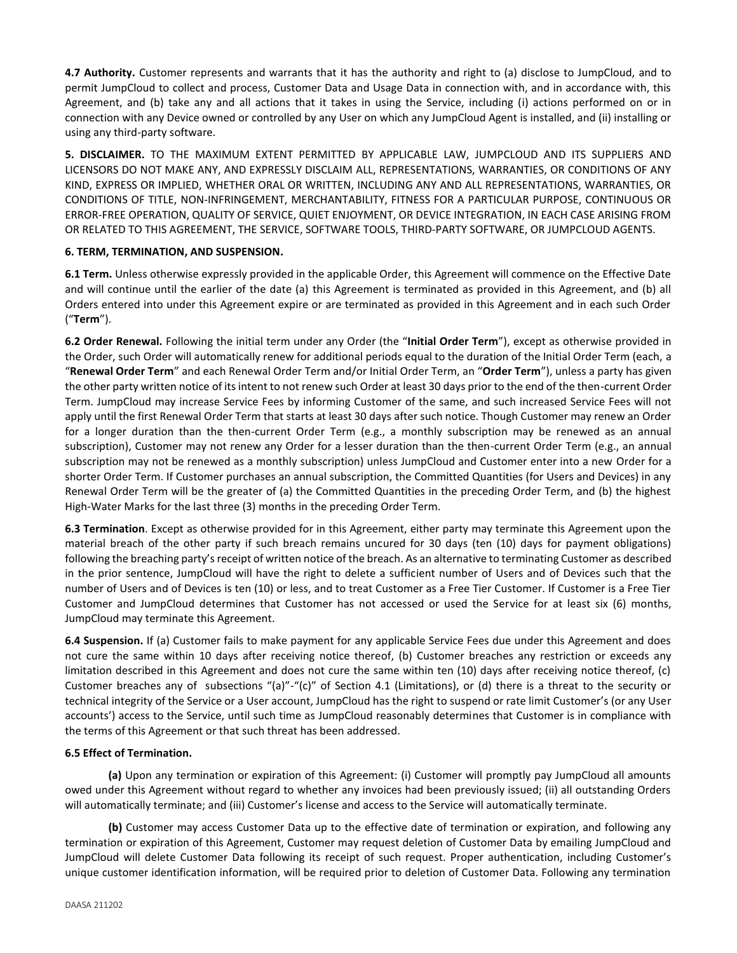**4.7 Authority.** Customer represents and warrants that it has the authority and right to (a) disclose to JumpCloud, and to permit JumpCloud to collect and process, Customer Data and Usage Data in connection with, and in accordance with, this Agreement, and (b) take any and all actions that it takes in using the Service, including (i) actions performed on or in connection with any Device owned or controlled by any User on which any JumpCloud Agent is installed, and (ii) installing or using any third-party software.

**5. DISCLAIMER.** TO THE MAXIMUM EXTENT PERMITTED BY APPLICABLE LAW, JUMPCLOUD AND ITS SUPPLIERS AND LICENSORS DO NOT MAKE ANY, AND EXPRESSLY DISCLAIM ALL, REPRESENTATIONS, WARRANTIES, OR CONDITIONS OF ANY KIND, EXPRESS OR IMPLIED, WHETHER ORAL OR WRITTEN, INCLUDING ANY AND ALL REPRESENTATIONS, WARRANTIES, OR CONDITIONS OF TITLE, NON-INFRINGEMENT, MERCHANTABILITY, FITNESS FOR A PARTICULAR PURPOSE, CONTINUOUS OR ERROR-FREE OPERATION, QUALITY OF SERVICE, QUIET ENJOYMENT, OR DEVICE INTEGRATION, IN EACH CASE ARISING FROM OR RELATED TO THIS AGREEMENT, THE SERVICE, SOFTWARE TOOLS, THIRD-PARTY SOFTWARE, OR JUMPCLOUD AGENTS.

### **6. TERM, TERMINATION, AND SUSPENSION.**

**6.1 Term.** Unless otherwise expressly provided in the applicable Order, this Agreement will commence on the Effective Date and will continue until the earlier of the date (a) this Agreement is terminated as provided in this Agreement, and (b) all Orders entered into under this Agreement expire or are terminated as provided in this Agreement and in each such Order ("**Term**").

**6.2 Order Renewal.** Following the initial term under any Order (the "**Initial Order Term**"), except as otherwise provided in the Order, such Order will automatically renew for additional periods equal to the duration of the Initial Order Term (each, a "**Renewal Order Term**" and each Renewal Order Term and/or Initial Order Term, an "**Order Term**"), unless a party has given the other party written notice of its intent to not renew such Order at least 30 days prior to the end of the then-current Order Term. JumpCloud may increase Service Fees by informing Customer of the same, and such increased Service Fees will not apply until the first Renewal Order Term that starts at least 30 days after such notice. Though Customer may renew an Order for a longer duration than the then-current Order Term (e.g., a monthly subscription may be renewed as an annual subscription), Customer may not renew any Order for a lesser duration than the then-current Order Term (e.g., an annual subscription may not be renewed as a monthly subscription) unless JumpCloud and Customer enter into a new Order for a shorter Order Term. If Customer purchases an annual subscription, the Committed Quantities (for Users and Devices) in any Renewal Order Term will be the greater of (a) the Committed Quantities in the preceding Order Term, and (b) the highest High-Water Marks for the last three (3) months in the preceding Order Term.

**6.3 Termination**. Except as otherwise provided for in this Agreement, either party may terminate this Agreement upon the material breach of the other party if such breach remains uncured for 30 days (ten (10) days for payment obligations) following the breaching party's receipt of written notice of the breach. As an alternative to terminating Customer as described in the prior sentence, JumpCloud will have the right to delete a sufficient number of Users and of Devices such that the number of Users and of Devices is ten (10) or less, and to treat Customer as a Free Tier Customer. If Customer is a Free Tier Customer and JumpCloud determines that Customer has not accessed or used the Service for at least six (6) months, JumpCloud may terminate this Agreement.

**6.4 Suspension.** If (a) Customer fails to make payment for any applicable Service Fees due under this Agreement and does not cure the same within 10 days after receiving notice thereof, (b) Customer breaches any restriction or exceeds any limitation described in this Agreement and does not cure the same within ten (10) days after receiving notice thereof, (c) Customer breaches any of subsections "(a)"-"(c)" of Section 4.1 (Limitations), or (d) there is a threat to the security or technical integrity of the Service or a User account, JumpCloud has the right to suspend or rate limit Customer's (or any User accounts') access to the Service, until such time as JumpCloud reasonably determines that Customer is in compliance with the terms of this Agreement or that such threat has been addressed.

# **6.5 Effect of Termination.**

**(a)** Upon any termination or expiration of this Agreement: (i) Customer will promptly pay JumpCloud all amounts owed under this Agreement without regard to whether any invoices had been previously issued; (ii) all outstanding Orders will automatically terminate; and (iii) Customer's license and access to the Service will automatically terminate.

**(b)** Customer may access Customer Data up to the effective date of termination or expiration, and following any termination or expiration of this Agreement, Customer may request deletion of Customer Data by emailing JumpCloud and JumpCloud will delete Customer Data following its receipt of such request. Proper authentication, including Customer's unique customer identification information, will be required prior to deletion of Customer Data. Following any termination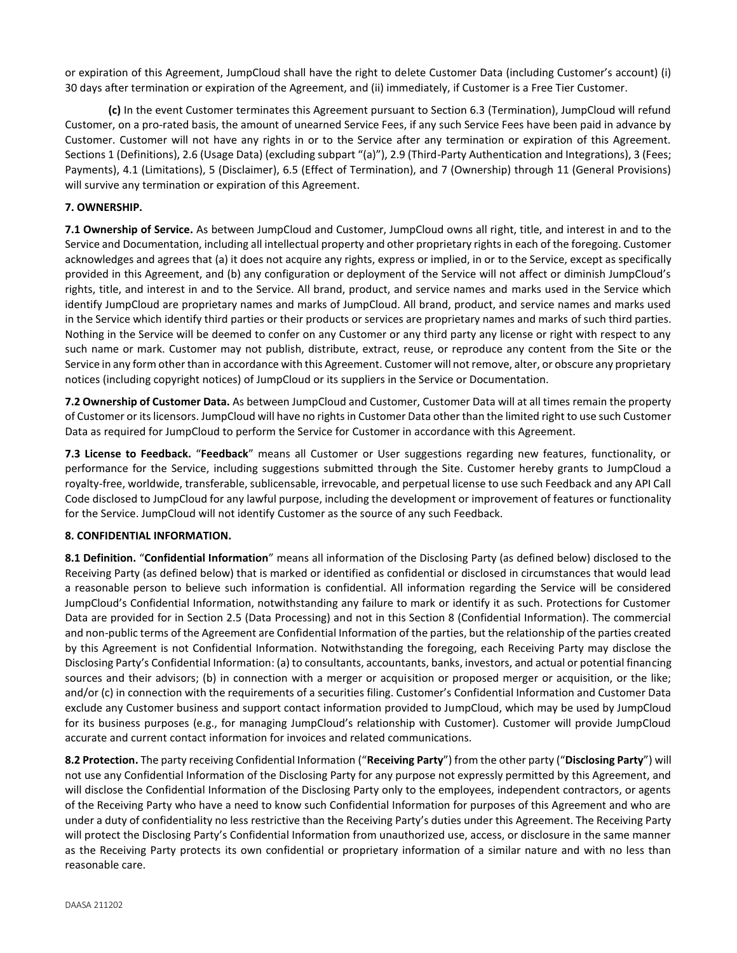or expiration of this Agreement, JumpCloud shall have the right to delete Customer Data (including Customer's account) (i) 30 days after termination or expiration of the Agreement, and (ii) immediately, if Customer is a Free Tier Customer.

**(c)** In the event Customer terminates this Agreement pursuant to Section 6.3 (Termination), JumpCloud will refund Customer, on a pro-rated basis, the amount of unearned Service Fees, if any such Service Fees have been paid in advance by Customer. Customer will not have any rights in or to the Service after any termination or expiration of this Agreement. Sections 1 (Definitions), 2.6 (Usage Data) (excluding subpart "(a)"), 2.9 (Third-Party Authentication and Integrations), 3 (Fees; Payments), 4.1 (Limitations), 5 (Disclaimer), 6.5 (Effect of Termination), and 7 (Ownership) through 11 (General Provisions) will survive any termination or expiration of this Agreement.

# **7. OWNERSHIP.**

**7.1 Ownership of Service.** As between JumpCloud and Customer, JumpCloud owns all right, title, and interest in and to the Service and Documentation, including all intellectual property and other proprietary rights in each of the foregoing. Customer acknowledges and agrees that (a) it does not acquire any rights, express or implied, in or to the Service, except as specifically provided in this Agreement, and (b) any configuration or deployment of the Service will not affect or diminish JumpCloud's rights, title, and interest in and to the Service. All brand, product, and service names and marks used in the Service which identify JumpCloud are proprietary names and marks of JumpCloud. All brand, product, and service names and marks used in the Service which identify third parties or their products or services are proprietary names and marks of such third parties. Nothing in the Service will be deemed to confer on any Customer or any third party any license or right with respect to any such name or mark. Customer may not publish, distribute, extract, reuse, or reproduce any content from the Site or the Service in any form other than in accordance with this Agreement. Customer will not remove, alter, or obscure any proprietary notices (including copyright notices) of JumpCloud or its suppliers in the Service or Documentation.

**7.2 Ownership of Customer Data.** As between JumpCloud and Customer, Customer Data will at all times remain the property of Customer or its licensors. JumpCloud will have no rights in Customer Data other than the limited right to use such Customer Data as required for JumpCloud to perform the Service for Customer in accordance with this Agreement.

**7.3 License to Feedback.** "**Feedback**" means all Customer or User suggestions regarding new features, functionality, or performance for the Service, including suggestions submitted through the Site. Customer hereby grants to JumpCloud a royalty-free, worldwide, transferable, sublicensable, irrevocable, and perpetual license to use such Feedback and any API Call Code disclosed to JumpCloud for any lawful purpose, including the development or improvement of features or functionality for the Service. JumpCloud will not identify Customer as the source of any such Feedback.

# **8. CONFIDENTIAL INFORMATION.**

**8.1 Definition.** "**Confidential Information**" means all information of the Disclosing Party (as defined below) disclosed to the Receiving Party (as defined below) that is marked or identified as confidential or disclosed in circumstances that would lead a reasonable person to believe such information is confidential. All information regarding the Service will be considered JumpCloud's Confidential Information, notwithstanding any failure to mark or identify it as such. Protections for Customer Data are provided for in Section 2.5 (Data Processing) and not in this Section 8 (Confidential Information). The commercial and non-public terms of the Agreement are Confidential Information of the parties, but the relationship of the parties created by this Agreement is not Confidential Information. Notwithstanding the foregoing, each Receiving Party may disclose the Disclosing Party's Confidential Information: (a) to consultants, accountants, banks, investors, and actual or potential financing sources and their advisors; (b) in connection with a merger or acquisition or proposed merger or acquisition, or the like; and/or (c) in connection with the requirements of a securities filing. Customer's Confidential Information and Customer Data exclude any Customer business and support contact information provided to JumpCloud, which may be used by JumpCloud for its business purposes (e.g., for managing JumpCloud's relationship with Customer). Customer will provide JumpCloud accurate and current contact information for invoices and related communications.

**8.2 Protection.** The party receiving Confidential Information ("**Receiving Party**") from the other party ("**Disclosing Party**") will not use any Confidential Information of the Disclosing Party for any purpose not expressly permitted by this Agreement, and will disclose the Confidential Information of the Disclosing Party only to the employees, independent contractors, or agents of the Receiving Party who have a need to know such Confidential Information for purposes of this Agreement and who are under a duty of confidentiality no less restrictive than the Receiving Party's duties under this Agreement. The Receiving Party will protect the Disclosing Party's Confidential Information from unauthorized use, access, or disclosure in the same manner as the Receiving Party protects its own confidential or proprietary information of a similar nature and with no less than reasonable care.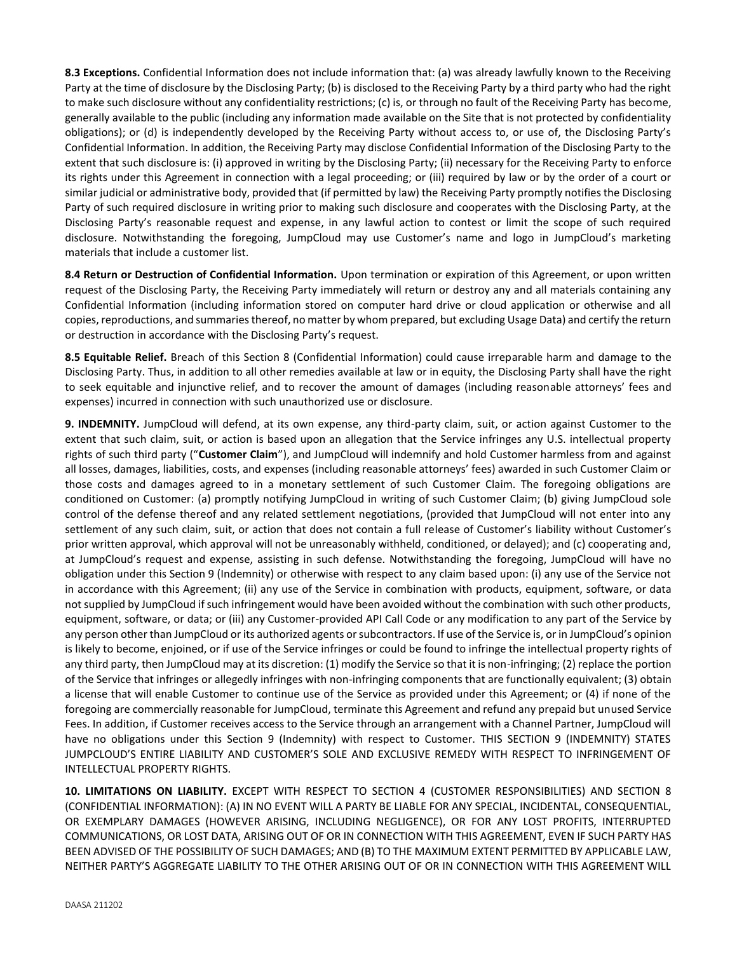**8.3 Exceptions.** Confidential Information does not include information that: (a) was already lawfully known to the Receiving Party at the time of disclosure by the Disclosing Party; (b) is disclosed to the Receiving Party by a third party who had the right to make such disclosure without any confidentiality restrictions; (c) is, or through no fault of the Receiving Party has become, generally available to the public (including any information made available on the Site that is not protected by confidentiality obligations); or (d) is independently developed by the Receiving Party without access to, or use of, the Disclosing Party's Confidential Information. In addition, the Receiving Party may disclose Confidential Information of the Disclosing Party to the extent that such disclosure is: (i) approved in writing by the Disclosing Party; (ii) necessary for the Receiving Party to enforce its rights under this Agreement in connection with a legal proceeding; or (iii) required by law or by the order of a court or similar judicial or administrative body, provided that (if permitted by law) the Receiving Party promptly notifies the Disclosing Party of such required disclosure in writing prior to making such disclosure and cooperates with the Disclosing Party, at the Disclosing Party's reasonable request and expense, in any lawful action to contest or limit the scope of such required disclosure. Notwithstanding the foregoing, JumpCloud may use Customer's name and logo in JumpCloud's marketing materials that include a customer list.

**8.4 Return or Destruction of Confidential Information.** Upon termination or expiration of this Agreement, or upon written request of the Disclosing Party, the Receiving Party immediately will return or destroy any and all materials containing any Confidential Information (including information stored on computer hard drive or cloud application or otherwise and all copies, reproductions, and summaries thereof, no matter by whom prepared, but excluding Usage Data) and certify the return or destruction in accordance with the Disclosing Party's request.

**8.5 Equitable Relief.** Breach of this Section 8 (Confidential Information) could cause irreparable harm and damage to the Disclosing Party. Thus, in addition to all other remedies available at law or in equity, the Disclosing Party shall have the right to seek equitable and injunctive relief, and to recover the amount of damages (including reasonable attorneys' fees and expenses) incurred in connection with such unauthorized use or disclosure.

**9. INDEMNITY.** JumpCloud will defend, at its own expense, any third-party claim, suit, or action against Customer to the extent that such claim, suit, or action is based upon an allegation that the Service infringes any U.S. intellectual property rights of such third party ("**Customer Claim**"), and JumpCloud will indemnify and hold Customer harmless from and against all losses, damages, liabilities, costs, and expenses (including reasonable attorneys' fees) awarded in such Customer Claim or those costs and damages agreed to in a monetary settlement of such Customer Claim. The foregoing obligations are conditioned on Customer: (a) promptly notifying JumpCloud in writing of such Customer Claim; (b) giving JumpCloud sole control of the defense thereof and any related settlement negotiations, (provided that JumpCloud will not enter into any settlement of any such claim, suit, or action that does not contain a full release of Customer's liability without Customer's prior written approval, which approval will not be unreasonably withheld, conditioned, or delayed); and (c) cooperating and, at JumpCloud's request and expense, assisting in such defense. Notwithstanding the foregoing, JumpCloud will have no obligation under this Section 9 (Indemnity) or otherwise with respect to any claim based upon: (i) any use of the Service not in accordance with this Agreement; (ii) any use of the Service in combination with products, equipment, software, or data not supplied by JumpCloud if such infringement would have been avoided without the combination with such other products, equipment, software, or data; or (iii) any Customer-provided API Call Code or any modification to any part of the Service by any person other than JumpCloud or its authorized agents or subcontractors. If use of the Service is, or in JumpCloud's opinion is likely to become, enjoined, or if use of the Service infringes or could be found to infringe the intellectual property rights of any third party, then JumpCloud may at its discretion: (1) modify the Service so that it is non-infringing; (2) replace the portion of the Service that infringes or allegedly infringes with non-infringing components that are functionally equivalent; (3) obtain a license that will enable Customer to continue use of the Service as provided under this Agreement; or (4) if none of the foregoing are commercially reasonable for JumpCloud, terminate this Agreement and refund any prepaid but unused Service Fees. In addition, if Customer receives access to the Service through an arrangement with a Channel Partner, JumpCloud will have no obligations under this Section 9 (Indemnity) with respect to Customer. THIS SECTION 9 (INDEMNITY) STATES JUMPCLOUD'S ENTIRE LIABILITY AND CUSTOMER'S SOLE AND EXCLUSIVE REMEDY WITH RESPECT TO INFRINGEMENT OF INTELLECTUAL PROPERTY RIGHTS.

**10. LIMITATIONS ON LIABILITY.** EXCEPT WITH RESPECT TO SECTION 4 (CUSTOMER RESPONSIBILITIES) AND SECTION 8 (CONFIDENTIAL INFORMATION): (A) IN NO EVENT WILL A PARTY BE LIABLE FOR ANY SPECIAL, INCIDENTAL, CONSEQUENTIAL, OR EXEMPLARY DAMAGES (HOWEVER ARISING, INCLUDING NEGLIGENCE), OR FOR ANY LOST PROFITS, INTERRUPTED COMMUNICATIONS, OR LOST DATA, ARISING OUT OF OR IN CONNECTION WITH THIS AGREEMENT, EVEN IF SUCH PARTY HAS BEEN ADVISED OF THE POSSIBILITY OF SUCH DAMAGES; AND (B) TO THE MAXIMUM EXTENT PERMITTED BY APPLICABLE LAW, NEITHER PARTY'S AGGREGATE LIABILITY TO THE OTHER ARISING OUT OF OR IN CONNECTION WITH THIS AGREEMENT WILL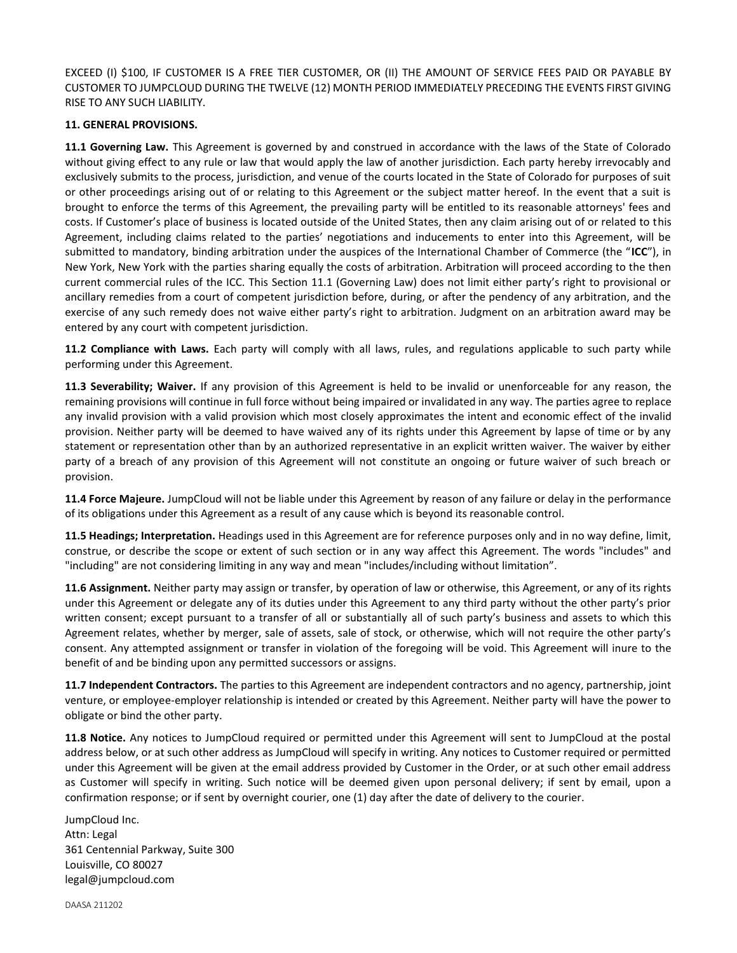EXCEED (I) \$100, IF CUSTOMER IS A FREE TIER CUSTOMER, OR (II) THE AMOUNT OF SERVICE FEES PAID OR PAYABLE BY CUSTOMER TO JUMPCLOUD DURING THE TWELVE (12) MONTH PERIOD IMMEDIATELY PRECEDING THE EVENTS FIRST GIVING RISE TO ANY SUCH LIABILITY.

#### **11. GENERAL PROVISIONS.**

**11.1 Governing Law.** This Agreement is governed by and construed in accordance with the laws of the State of Colorado without giving effect to any rule or law that would apply the law of another jurisdiction. Each party hereby irrevocably and exclusively submits to the process, jurisdiction, and venue of the courts located in the State of Colorado for purposes of suit or other proceedings arising out of or relating to this Agreement or the subject matter hereof. In the event that a suit is brought to enforce the terms of this Agreement, the prevailing party will be entitled to its reasonable attorneys' fees and costs. If Customer's place of business is located outside of the United States, then any claim arising out of or related to this Agreement, including claims related to the parties' negotiations and inducements to enter into this Agreement, will be submitted to mandatory, binding arbitration under the auspices of the International Chamber of Commerce (the "**ICC**"), in New York, New York with the parties sharing equally the costs of arbitration. Arbitration will proceed according to the then current commercial rules of the ICC. This Section 11.1 (Governing Law) does not limit either party's right to provisional or ancillary remedies from a court of competent jurisdiction before, during, or after the pendency of any arbitration, and the exercise of any such remedy does not waive either party's right to arbitration. Judgment on an arbitration award may be entered by any court with competent jurisdiction.

**11.2 Compliance with Laws.** Each party will comply with all laws, rules, and regulations applicable to such party while performing under this Agreement.

**11.3 Severability; Waiver.** If any provision of this Agreement is held to be invalid or unenforceable for any reason, the remaining provisions will continue in full force without being impaired or invalidated in any way. The parties agree to replace any invalid provision with a valid provision which most closely approximates the intent and economic effect of the invalid provision. Neither party will be deemed to have waived any of its rights under this Agreement by lapse of time or by any statement or representation other than by an authorized representative in an explicit written waiver. The waiver by either party of a breach of any provision of this Agreement will not constitute an ongoing or future waiver of such breach or provision.

**11.4 Force Majeure.** JumpCloud will not be liable under this Agreement by reason of any failure or delay in the performance of its obligations under this Agreement as a result of any cause which is beyond its reasonable control.

**11.5 Headings; Interpretation.** Headings used in this Agreement are for reference purposes only and in no way define, limit, construe, or describe the scope or extent of such section or in any way affect this Agreement. The words "includes" and "including" are not considering limiting in any way and mean "includes/including without limitation".

**11.6 Assignment.** Neither party may assign or transfer, by operation of law or otherwise, this Agreement, or any of its rights under this Agreement or delegate any of its duties under this Agreement to any third party without the other party's prior written consent; except pursuant to a transfer of all or substantially all of such party's business and assets to which this Agreement relates, whether by merger, sale of assets, sale of stock, or otherwise, which will not require the other party's consent. Any attempted assignment or transfer in violation of the foregoing will be void. This Agreement will inure to the benefit of and be binding upon any permitted successors or assigns.

**11.7 Independent Contractors.** The parties to this Agreement are independent contractors and no agency, partnership, joint venture, or employee-employer relationship is intended or created by this Agreement. Neither party will have the power to obligate or bind the other party.

**11.8 Notice.** Any notices to JumpCloud required or permitted under this Agreement will sent to JumpCloud at the postal address below, or at such other address as JumpCloud will specify in writing. Any notices to Customer required or permitted under this Agreement will be given at the email address provided by Customer in the Order, or at such other email address as Customer will specify in writing. Such notice will be deemed given upon personal delivery; if sent by email, upon a confirmation response; or if sent by overnight courier, one (1) day after the date of delivery to the courier.

JumpCloud Inc. Attn: Legal 361 Centennial Parkway, Suite 300 Louisville, CO 80027 legal@jumpcloud.com